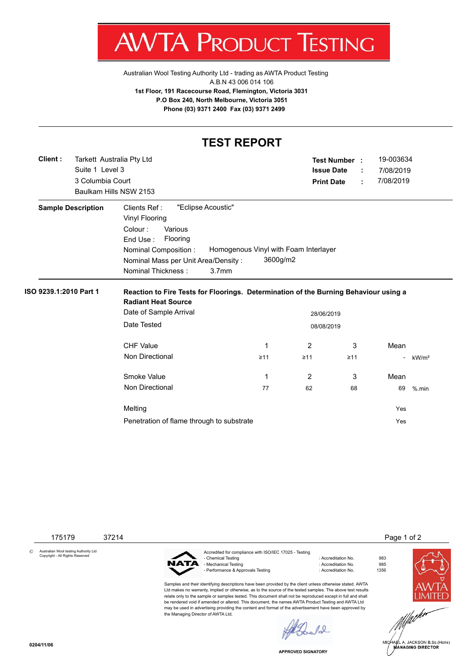$AW$ V IA. **PRODUC** IESTING ı

[Australian Wool Testing Authority Ltd - trading as AWTA Product Testing](http://www.awtaproducttesting.com.au/) A.B.N 43 006 014 106 **1st Floor, 191 Racecourse Road, Flemington, Victoria 3031 P.O Box 240, North Melbourne, Victoria 3051 Phone (03) 9371 2400 Fax (03) 9371 2499**

## **TEST REPORT**

| Client:                   | Tarkett Australia Pty Ltd                                     |                   |                   | Test Number : | 19-003634 |                   |  |  |
|---------------------------|---------------------------------------------------------------|-------------------|-------------------|---------------|-----------|-------------------|--|--|
| Suite 1 Level 3           |                                                               |                   | <b>Issue Date</b> |               | 7/08/2019 |                   |  |  |
| 3 Columbia Court          |                                                               |                   | <b>Print Date</b> | ÷             | 7/08/2019 |                   |  |  |
|                           | Baulkam Hills NSW 2153                                        |                   |                   |               |           |                   |  |  |
| <b>Sample Description</b> | "Eclipse Acoustic"<br>Clients Ref:                            |                   |                   |               |           |                   |  |  |
|                           | <b>Vinyl Flooring</b>                                         |                   |                   |               |           |                   |  |  |
|                           | Colour:<br>Various                                            |                   |                   |               |           |                   |  |  |
|                           | End Use:<br>Flooring                                          |                   |                   |               |           |                   |  |  |
|                           | Homogenous Vinyl with Foam Interlayer<br>Nominal Composition: |                   |                   |               |           |                   |  |  |
|                           | Nominal Mass per Unit Area/Density:                           | 3600g/m2          |                   |               |           |                   |  |  |
|                           | Nominal Thickness:                                            | 3.7 <sub>mm</sub> |                   |               |           |                   |  |  |
|                           | Date of Sample Arrival                                        | 28/06/2019        |                   |               |           |                   |  |  |
|                           | Date Tested                                                   | 08/08/2019        |                   |               |           |                   |  |  |
|                           | <b>CHF Value</b>                                              | 1                 | 2                 | 3             | Mean      |                   |  |  |
|                           | <b>Non Directional</b>                                        | $\geq 11$         | $\geq 11$         | $\geq 11$     |           | kW/m <sup>2</sup> |  |  |
|                           | Smoke Value                                                   | 1                 | 2                 | 3             | Mean      |                   |  |  |
|                           | <b>Non Directional</b>                                        | 77                | 62                | 68            | 69        | $%$ .min          |  |  |
|                           | Melting                                                       |                   |                   |               | Yes       |                   |  |  |
|                           |                                                               |                   |                   |               |           |                   |  |  |

175179 37214 **Page 1 of 2** 

© Australian Wool testing Authority Ltd Copyright - All Rights Reserved



the Managing Director of AWTA Ltd.

Accredited for compliance with ISO/IEC 17025 - Testing - Mechanical Testing : Accreditation No. 985<br>- Performance & Approvals Testing : Accreditation No. 1356 - Performance & Approvals Testing

Samples and their identifying descriptions have been provided by the client unless otherwise stated. AWTA Ltd makes no warranty, implied or otherwise, as to the source of the tested samples. The above test results relate only to the sample or samples tested. This document shall not be reproduced except in full and shall be rendered void if amended or altered. This document, the names AWTA Product Testing and AWTA Ltd may be used in advertising providing the content and format of the advertisement have been approved by

: Accreditation No. 983<br>: Accreditation No. 985





.<br>IA∉L A. JACKSON B.Sc.(Hons)<br>MANAGING DIRECTOR

**APPROVED SIGNATORY**

 $\sqrt{2}$